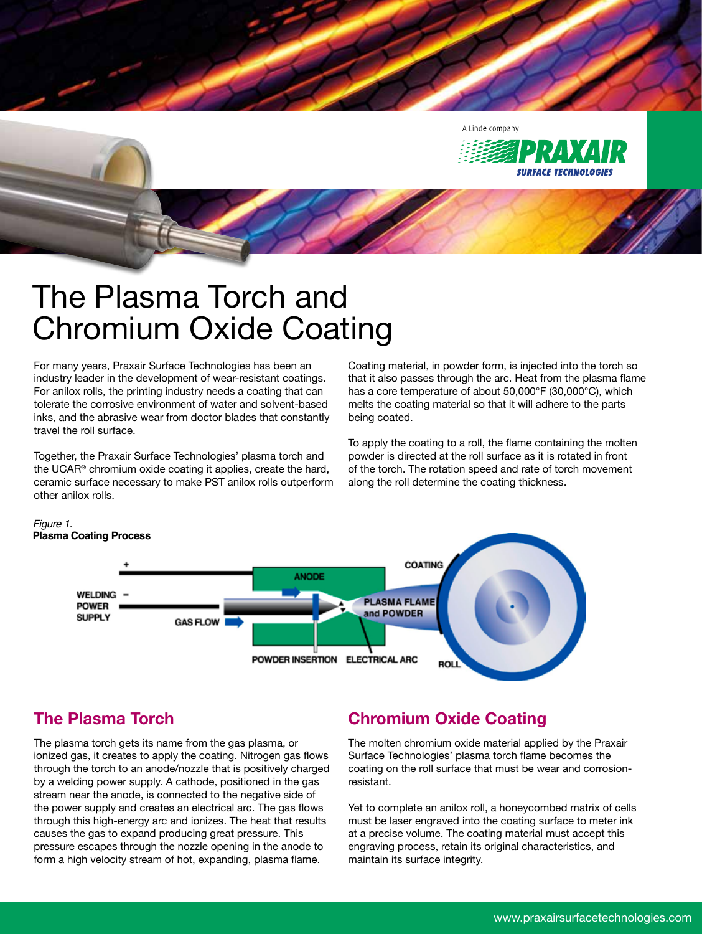

# The Plasma Torch and Chromium Oxide Coating

For many years, Praxair Surface Technologies has been an industry leader in the development of wear-resistant coatings. For anilox rolls, the printing industry needs a coating that can tolerate the corrosive environment of water and solvent-based inks, and the abrasive wear from doctor blades that constantly travel the roll surface.

Together, the Praxair Surface Technologies' plasma torch and the UCAR® chromium oxide coating it applies, create the hard, ceramic surface necessary to make PST anilox rolls outperform other anilox rolls.

Coating material, in powder form, is injected into the torch so that it also passes through the arc. Heat from the plasma flame has a core temperature of about 50,000°F (30,000°C), which melts the coating material so that it will adhere to the parts being coated.

To apply the coating to a roll, the flame containing the molten powder is directed at the roll surface as it is rotated in front of the torch. The rotation speed and rate of torch movement along the roll determine the coating thickness.

#### *Figure 1.*  **Plasma Coating Process**



## **The Plasma Torch**

The plasma torch gets its name from the gas plasma, or ionized gas, it creates to apply the coating. Nitrogen gas flows through the torch to an anode/nozzle that is positively charged by a welding power supply. A cathode, positioned in the gas stream near the anode, is connected to the negative side of the power supply and creates an electrical arc. The gas flows through this high-energy arc and ionizes. The heat that results causes the gas to expand producing great pressure. This pressure escapes through the nozzle opening in the anode to form a high velocity stream of hot, expanding, plasma flame.

## **Chromium Oxide Coating**

The molten chromium oxide material applied by the Praxair Surface Technologies' plasma torch flame becomes the coating on the roll surface that must be wear and corrosionresistant.

Yet to complete an anilox roll, a honeycombed matrix of cells must be laser engraved into the coating surface to meter ink at a precise volume. The coating material must accept this engraving process, retain its original characteristics, and maintain its surface integrity.